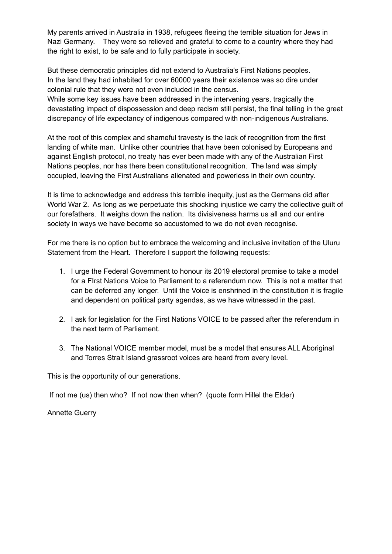My parents arrived in Australia in 1938, refugees fleeing the terrible situation for Jews in Nazi Germany. They were so relieved and grateful to come to a country where they had the right to exist, to be safe and to fully participate in society.

 But these democratic principles did not extend to Australia's First Nations peoples. In the land they had inhabited for over 60000 years their existence was so dire under colonial rule that they were not even included in the census.

 While some key issues have been addressed in the intervening years, tragically the devastating impact of dispossession and deep racism still persist, the final telling in the great discrepancy of life expectancy of indigenous compared with non-indigenous Australians.

 At the root of this complex and shameful travesty is the lack of recognition from the first landing of white man. Unlike other countries that have been colonised by Europeans and against English protocol, no treaty has ever been made with any of the Australian First Nations peoples, nor has there been constitutional recognition. The land was simply occupied, leaving the First Australians alienated and powerless in their own country.

 It is time to acknowledge and address this terrible inequity, just as the Germans did after World War 2. As long as we perpetuate this shocking injustice we carry the collective guilt of our forefathers. It weighs down the nation. Its divisiveness harms us all and our entire society in ways we have become so accustomed to we do not even recognise.

 For me there is no option but to embrace the welcoming and inclusive invitation of the Uluru Statement from the Heart. Therefore I support the following requests:

- 1. I urge the Federal Government to honour its 2019 electoral promise to take a model for a FIrst Nations Voice to Parliament to a referendum now. This is not a matter that can be deferred any longer. Until the Voice is enshrined in the constitution it is fragile and dependent on political party agendas, as we have witnessed in the past.
- 2. I ask for legislation for the First Nations VOICE to be passed after the referendum in the next term of Parliament.
- 3. The National VOICE member model, must be a model that ensures ALL Aboriginal and Torres Strait Island grassroot voices are heard from every level.

This is the opportunity of our generations.

If not me (us) then who? If not now then when? (quote form Hillel the Elder)

Annette Guerry